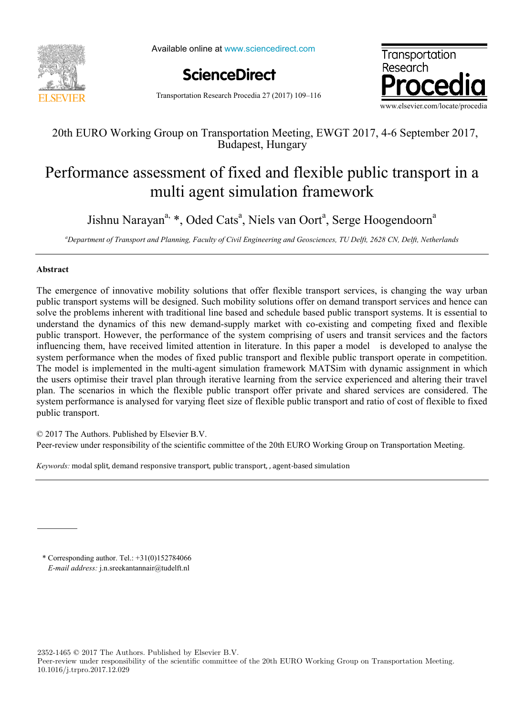

Available online at www.sciencedirect.com

**ScienceDirect**



Transportation Research Procedia 27 (2017) 109–116

## 20th EURO Working Group on Transportation Meeting, EWGT 2017, 4-6 September 2017, Budapest, Hungary

## Performance assessment of fixed and flexible public transport in a multi agent simulation framework

Jishnu Narayan<sup>a,</sup> \*, Oded Cats<sup>a</sup>, Niels van Oort<sup>a</sup>, Serge Hoogendoorn<sup>a</sup>

*a Department of Transport and Planning, Faculty of Civil Engineering and Geosciences, TU Delft, 2628 CN, Delft, Netherlands*

## **Abstract**

The emergence of innovative mobility solutions that offer flexible transport services, is changing the way urban public transport systems will be designed. Such mobility solutions offer on demand transport services and hence can solve the problems inherent with traditional line based and schedule based public transport systems. It is essential to understand the dynamics of this new demand-supply market with co-existing and competing fixed and flexible public transport. However, the performance of the system comprising of users and transit services and the factors influencing them, have received limited attention in literature. In this paper a model is developed to analyse the system performance when the modes of fixed public transport and flexible public transport operate in competition. The model is implemented in the multi-agent simulation framework MATSim with dynamic assignment in which the users optimise their travel plan through iterative learning from the service experienced and altering their travel plan. The scenarios in which the flexible public transport offer private and shared services are considered. The system performance is analysed for varying fleet size of flexible public transport and ratio of cost of flexible to fixed public transport.

© 2017 The Authors. Published by Elsevier B.V.

Peer-review under responsibility of the scientific committee of the 20th EURO Working Group on Transportation Meeting.

*Keywords:* modal split, demand responsive transport, public transport, , agent-based simulation

\* Corresponding author. Tel.:  $+31(0)152784066$ *E-mail address:* j.n.sreekantannair@tudelft.nl

2352-1465 © 2017 The Authors. Published by Elsevier B.V.

Peer-review under responsibility of the scientific committee of the 20th EURO Working Group on Transportation Meeting. 10.1016/j.trpro.2017.12.029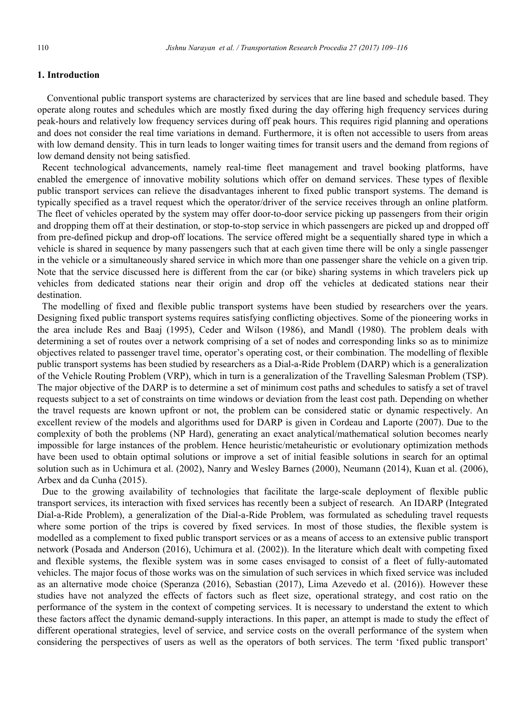## **1. Introduction**

Conventional public transport systems are characterized by services that are line based and schedule based. They operate along routes and schedules which are mostly fixed during the day offering high frequency services during peak-hours and relatively low frequency services during off peak hours. This requires rigid planning and operations and does not consider the real time variations in demand. Furthermore, it is often not accessible to users from areas with low demand density. This in turn leads to longer waiting times for transit users and the demand from regions of low demand density not being satisfied.

Recent technological advancements, namely real-time fleet management and travel booking platforms, have enabled the emergence of innovative mobility solutions which offer on demand services. These types of flexible public transport services can relieve the disadvantages inherent to fixed public transport systems. The demand is typically specified as a travel request which the operator/driver of the service receives through an online platform. The fleet of vehicles operated by the system may offer door-to-door service picking up passengers from their origin and dropping them off at their destination, or stop-to-stop service in which passengers are picked up and dropped off from pre-defined pickup and drop-off locations. The service offered might be a sequentially shared type in which a vehicle is shared in sequence by many passengers such that at each given time there will be only a single passenger in the vehicle or a simultaneously shared service in which more than one passenger share the vehicle on a given trip. Note that the service discussed here is different from the car (or bike) sharing systems in which travelers pick up vehicles from dedicated stations near their origin and drop off the vehicles at dedicated stations near their destination.

The modelling of fixed and flexible public transport systems have been studied by researchers over the years. Designing fixed public transport systems requires satisfying conflicting objectives. Some of the pioneering works in the area include Res and Baaj (1995), Ceder and Wilson (1986), and Mandl (1980). The problem deals with determining a set of routes over a network comprising of a set of nodes and corresponding links so as to minimize objectives related to passenger travel time, operator's operating cost, or their combination. The modelling of flexible public transport systems has been studied by researchers as a Dial-a-Ride Problem (DARP) which is a generalization of the Vehicle Routing Problem (VRP), which in turn is a generalization of the Travelling Salesman Problem (TSP). The major objective of the DARP is to determine a set of minimum cost paths and schedules to satisfy a set of travel requests subject to a set of constraints on time windows or deviation from the least cost path. Depending on whether the travel requests are known upfront or not, the problem can be considered static or dynamic respectively. An excellent review of the models and algorithms used for DARP is given in Cordeau and Laporte (2007). Due to the complexity of both the problems (NP Hard), generating an exact analytical/mathematical solution becomes nearly impossible for large instances of the problem. Hence heuristic/metaheuristic or evolutionary optimization methods have been used to obtain optimal solutions or improve a set of initial feasible solutions in search for an optimal solution such as in Uchimura et al. (2002), Nanry and Wesley Barnes (2000), Neumann (2014), Kuan et al. (2006), Arbex and da Cunha (2015).

Due to the growing availability of technologies that facilitate the large-scale deployment of flexible public transport services, its interaction with fixed services has recently been a subject of research. An IDARP (Integrated Dial-a-Ride Problem), a generalization of the Dial-a-Ride Problem, was formulated as scheduling travel requests where some portion of the trips is covered by fixed services. In most of those studies, the flexible system is modelled as a complement to fixed public transport services or as a means of access to an extensive public transport network (Posada and Anderson (2016), Uchimura et al. (2002)). In the literature which dealt with competing fixed and flexible systems, the flexible system was in some cases envisaged to consist of a fleet of fully-automated vehicles. The major focus of those works was on the simulation of such services in which fixed service was included as an alternative mode choice (Speranza (2016), Sebastian (2017), Lima Azevedo et al. (2016)). However these studies have not analyzed the effects of factors such as fleet size, operational strategy, and cost ratio on the performance of the system in the context of competing services. It is necessary to understand the extent to which these factors affect the dynamic demand-supply interactions. In this paper, an attempt is made to study the effect of different operational strategies, level of service, and service costs on the overall performance of the system when considering the perspectives of users as well as the operators of both services. The term 'fixed public transport'